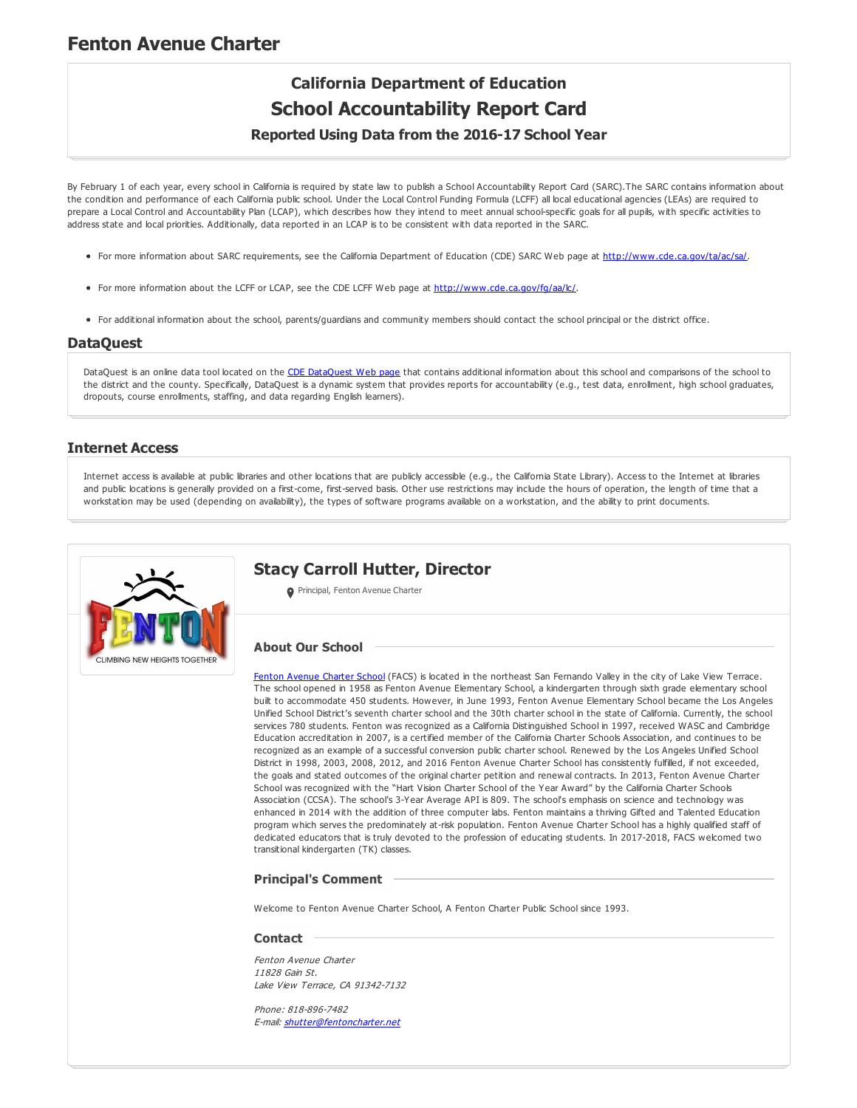## **Fenton Avenue Charter**

# **California Department of Education School Accountability Report Card**

### **Reported Using Data from the 2016-17 School Year**

By February 1 of each year, every school in California is required by state law to publish a School Accountability Report Card (SARC).The SARC contains information about the condition and performance of each California public school. Under the Local Control Funding Formula (LCFF) all local educational agencies (LEAs) are required to prepare a Local Control and Accountability Plan (LCAP), which describes how they intend to meet annual school-specific goals for all pupils, with specific activities to address state and local priorities. Additionally, data reported in an LCAP is to be consistent with data reported in the SARC.

- For more information about SARC requirements, see the California Department of Education (CDE) SARC Web page at <http://www.cde.ca.gov/ta/ac/sa/>.
- For more information about the LCFF or LCAP, see the CDE LCFF Web page at <http://www.cde.ca.gov/fg/aa/lc/>.
- For additional information about the school, parents/guardians and community members should contact the school principal or the district office.

#### **DataQuest**

[DataQuest](http://dq.cde.ca.gov/dataquest/) is an online data tool located on the CDE DataQuest Web page that contains additional information about this school and comparisons of the school to the district and the county. Specifically, DataQuest is a dynamic system that provides reports for accountability (e.g., test data, enrollment, high school graduates, dropouts, course enrollments, staffing, and data regarding English learners).

#### **Internet Access**

Internet access is available at public libraries and other locations that are publicly accessible (e.g., the California State Library). Access to the Internet at libraries and public locations is generally provided on a first-come, first-served basis. Other use restrictions may include the hours of operation, the length of time that a workstation may be used (depending on availability), the types of software programs available on a workstation, and the ability to print documents.



## **Stacy Carroll Hutter, Director**

Principal, Fenton Avenue Charter

#### **About Our School**

Fenton [Avenue](http://www.fentoncharterpublicschools.net/Fenton_Charter_Public_Schools/HOME.html) Charter School (FACS) is located in the northeast San Fernando Valley in the city of Lake View Terrace. The school opened in 1958 as Fenton Avenue Elementary School, a kindergarten through sixth grade elementary school built to accommodate 450 students. However, in June 1993, Fenton Avenue Elementary School became the Los Angeles Unified School District's seventh charter school and the 30th charter school in the state of California. Currently, the school services 780 students. Fenton was recognized as a California Distinguished School in 1997, received WASC and Cambridge Education accreditation in 2007, is a certified member of the California Charter Schools Association, and continues to be recognized as an example of a successful conversion public charter school. Renewed by the Los Angeles Unified School District in 1998, 2003, 2008, 2012, and 2016 Fenton Avenue Charter School has consistently fulfilled, if not exceeded, the goals and stated outcomes of the original charter petition and renewal contracts. In 2013, Fenton Avenue Charter School was recognized with the "Hart Vision Charter School of the Year Award" by the California Charter Schools Association (CCSA). The school's 3-Year Average API is 809. The school's emphasis on science and technology was enhanced in 2014 with the addition of three computer labs. Fenton maintains a thriving Gifted and Talented Education program which serves the predominately at-risk population. Fenton Avenue Charter School has a highly qualified staff of dedicated educators that is truly devoted to the profession of educating students. In 2017-2018, FACS welcomed two transitional kindergarten (TK) classes.

#### **Principal's Comment**

Welcome to Fenton Avenue Charter School, A Fenton Charter Public School since 1993.

#### **Contact**

Fenton Avenue Charter 11828 Gain St. Lake View Terrace, CA 91342-7132

Phone: 818-896-7482 E-mail: [shutter@fentoncharter.net](mailto:shutter@fentoncharter.net)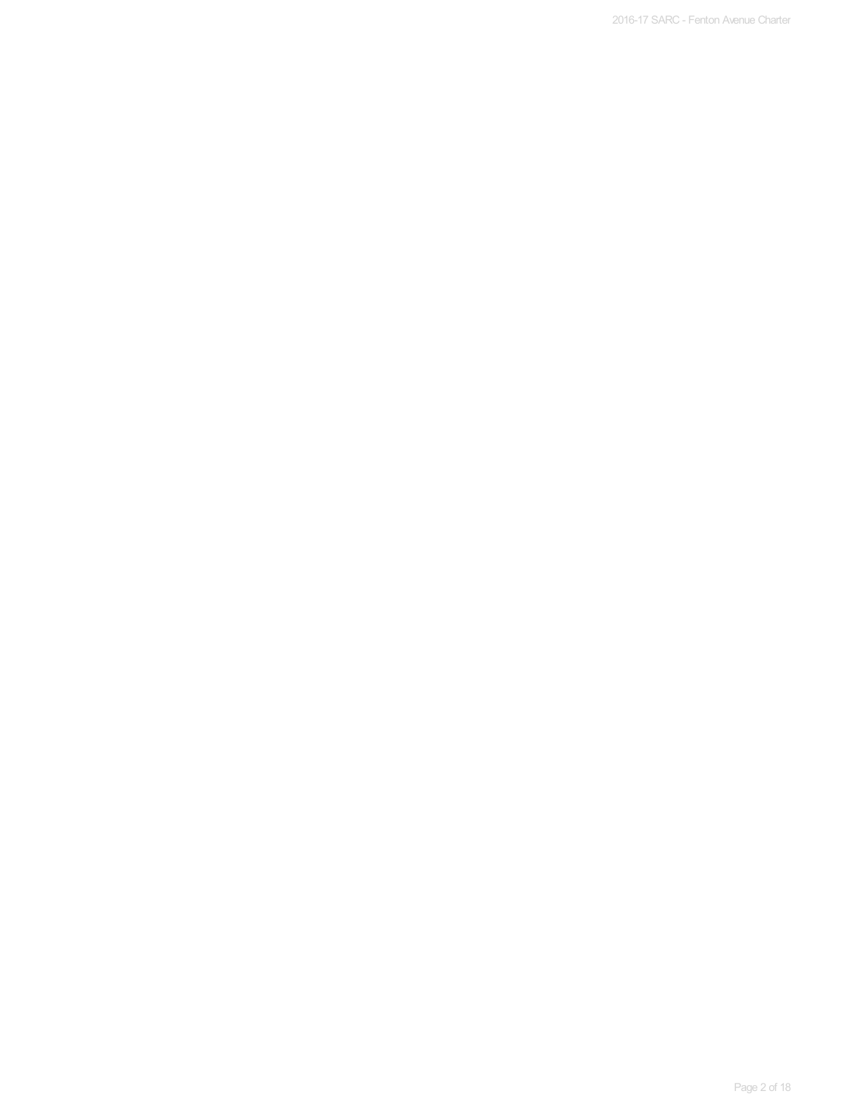2016-17 SARC - Fenton Avenue Charter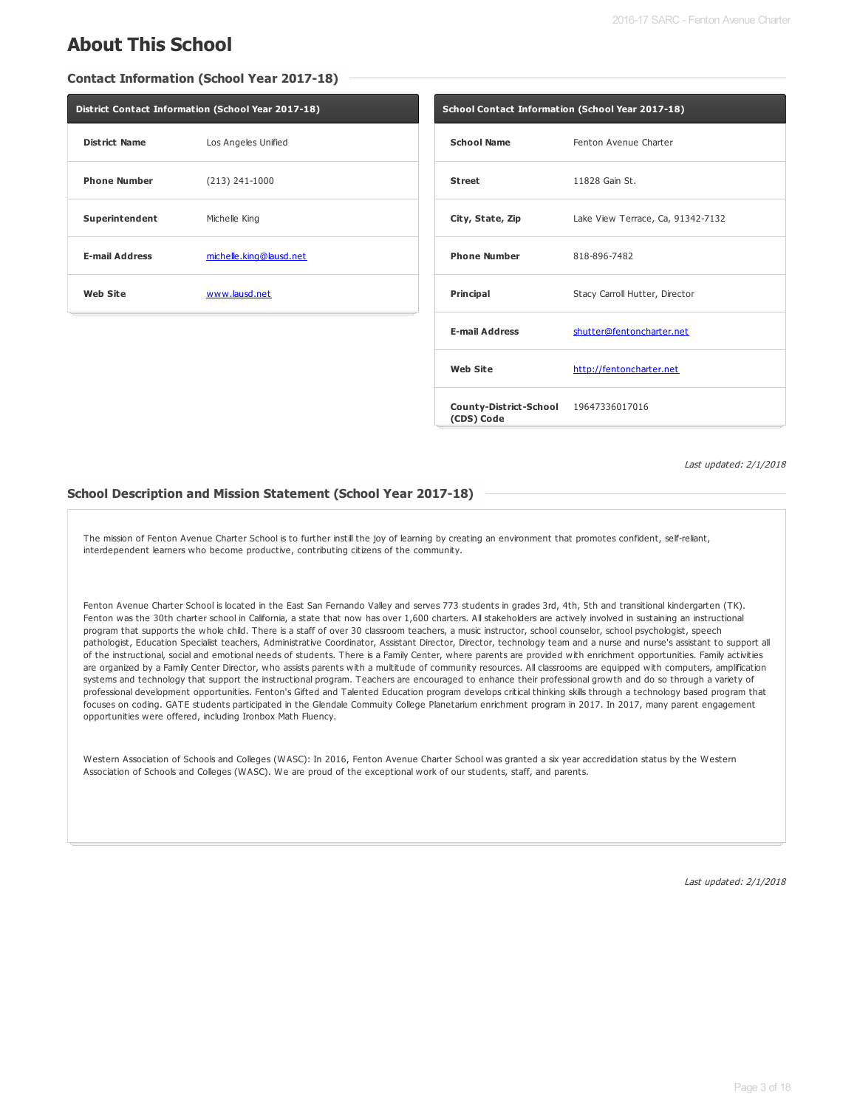## **About This School**

**Contact Information (School Year 2017-18)**

|                                             | District Contact Information (School Year 2017-18) |  |  |  |  |  |
|---------------------------------------------|----------------------------------------------------|--|--|--|--|--|
| <b>District Name</b><br>Los Angeles Unified |                                                    |  |  |  |  |  |
| <b>Phone Number</b>                         | $(213) 241 - 1000$                                 |  |  |  |  |  |
| Superintendent                              | Michelle King                                      |  |  |  |  |  |
| <b>E-mail Address</b>                       | michelle.king@lausd.net                            |  |  |  |  |  |
| <b>Web Site</b>                             | www.lausd.net                                      |  |  |  |  |  |
|                                             |                                                    |  |  |  |  |  |

| School Contact Information (School Year 2017-18)    |                                   |  |  |  |  |
|-----------------------------------------------------|-----------------------------------|--|--|--|--|
| <b>School Name</b>                                  | Fenton Avenue Charter             |  |  |  |  |
| <b>Street</b>                                       | 11828 Gain St.                    |  |  |  |  |
| City, State, Zip                                    | Lake View Terrace, Ca, 91342-7132 |  |  |  |  |
| <b>Phone Number</b>                                 | 818-896-7482                      |  |  |  |  |
| Principal                                           | Stacy Carroll Hutter, Director    |  |  |  |  |
| <b>E-mail Address</b>                               | shutter@fentoncharter.net         |  |  |  |  |
| Web Site                                            | http://fentoncharter.net          |  |  |  |  |
| County-District-School 19647336017016<br>(CDS) Code |                                   |  |  |  |  |

Last updated: 2/1/2018

#### **School Description and Mission Statement (School Year 2017-18)**

The mission of Fenton Avenue Charter School is to further instill the joy of learning by creating an environment that promotes confident, self-reliant, interdependent learners who become productive, contributing citizens of the community.

Fenton Avenue Charter School is located in the East San Fernando Valley and serves 773 students in grades 3rd, 4th, 5th and transitional kindergarten (TK). Fenton was the 30th charter school in California, a state that now has over 1,600 charters. All stakeholders are actively involved in sustaining an instructional program that supports the whole child. There is a staff of over 30 classroom teachers, a music instructor, school counselor, school psychologist, speech pathologist, Education Specialist teachers, Administrative Coordinator, Assistant Director, Director, technology team and a nurse and nurse's assistant to support all of the instructional, social and emotional needs of students. There is a Family Center, where parents are provided with enrichment opportunities. Family activities are organized by a Family Center Director, who assists parents with a multitude of community resources. All classrooms are equipped with computers, amplification systems and technology that support the instructional program. Teachers are encouraged to enhance their professional growth and do so through a variety of professional development opportunities. Fenton's Gifted and Talented Education program develops critical thinking skills through a technology based program that focuses on coding. GATE students participated in the Glendale Commuity College Planetarium enrichment program in 2017. In 2017, many parent engagement opportunities were offered, including Ironbox Math Fluency.

Western Association of Schools and Colleges (WASC): In 2016, Fenton Avenue Charter School was granted a six year accredidation status by the Western Association of Schools and Colleges (WASC). We are proud of the exceptional work of our students, staff, and parents.

Last updated: 2/1/2018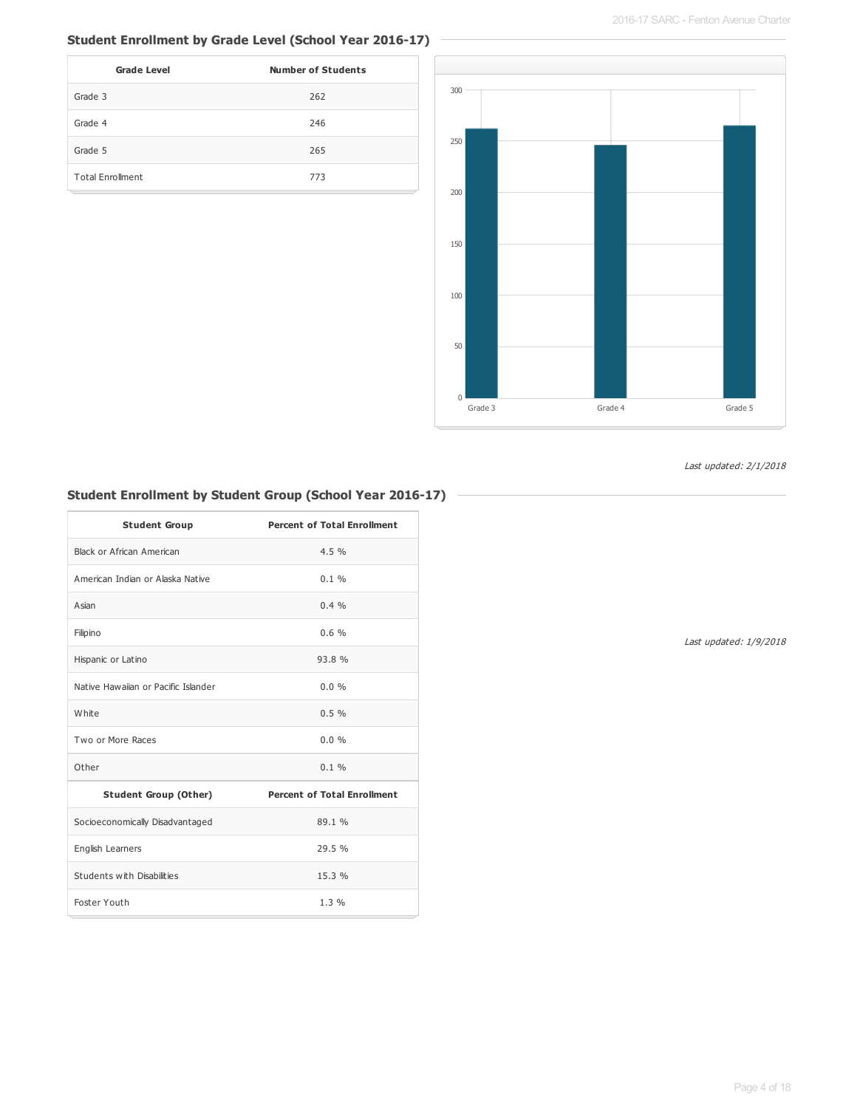## **Student Enrollment by Grade Level (School Year 2016-17)**

| <b>Grade Level</b>      | <b>Number of Students</b> |
|-------------------------|---------------------------|
| Grade 3                 | 262                       |
| Grade 4                 | 246                       |
| Grade 5                 | 265                       |
| <b>Total Enrollment</b> | 773                       |



Last updated: 2/1/2018

## **Student Enrollment by Student Group (School Year 2016-17)**

| <b>Student Group</b>                | <b>Percent of Total Enrollment</b> |
|-------------------------------------|------------------------------------|
| Black or African American           | 4.5%                               |
| American Indian or Alaska Native    | 0.1%                               |
| Asian                               | 0.4%                               |
| Filipino                            | 0.6%                               |
| Hispanic or Latino                  | 93.8%                              |
| Native Hawaijan or Pacific Islander | 0.0%                               |
| White                               | 0.5%                               |
| Two or More Races                   | $0.0\%$                            |
| Other                               | $0.1 \%$                           |
| <b>Student Group (Other)</b>        | <b>Percent of Total Enrollment</b> |
| Socioeconomically Disadvantaged     | 89.1 %                             |
| English Learners                    | 29.5 %                             |
| Students with Disabilities          | 15.3%                              |
| Foster Youth                        | 1.3 %                              |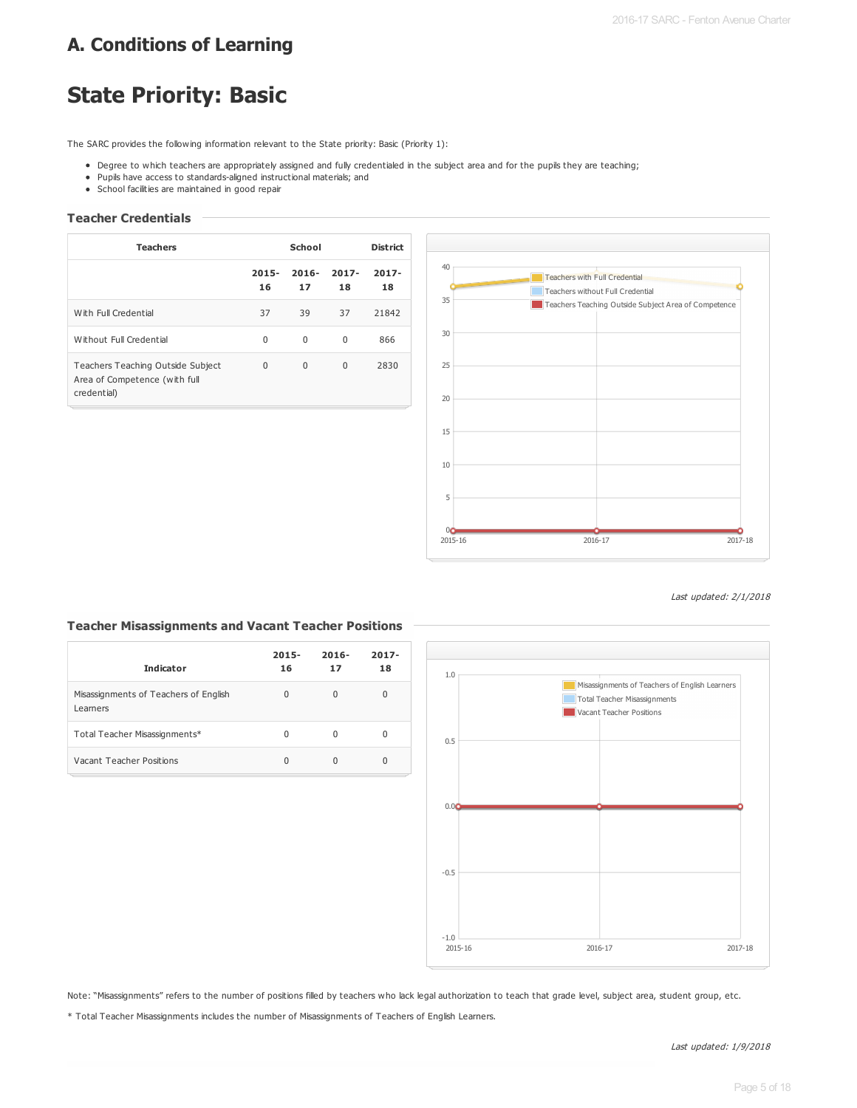# **A. Conditions of Learning**

# **State Priority: Basic**

The SARC provides the following information relevant to the State priority: Basic (Priority 1):

- Degree to which teachers are appropriately assigned and fully credentialed in the subject area and for the pupils they are teaching;
- Pupils have access to standards-aligned instructional materials; and
- School facilities are maintained in good repair

#### **Teacher Credentials**

| <b>Teachers</b>                                                                   | School         |                |                | <b>District</b> |
|-----------------------------------------------------------------------------------|----------------|----------------|----------------|-----------------|
|                                                                                   | $2015 -$<br>16 | $2016 -$<br>17 | $2017 -$<br>18 | $2017 -$<br>18  |
| With Full Credential                                                              | 37             | 39             | 37             | 21842           |
| Without Full Credential                                                           | $\Omega$       | $\Omega$       | $\Omega$       | 866             |
| Teachers Teaching Outside Subject<br>Area of Competence (with full<br>credential) | $\Omega$       | 0              | $\Omega$       | 2830            |



Last updated: 2/1/2018

#### **Teacher Misassignments and Vacant Teacher Positions**

| <b>Indicator</b>                                  | $2015 -$<br>16 | $2016 -$<br>17 | $2017 -$<br>18 |
|---------------------------------------------------|----------------|----------------|----------------|
| Misassignments of Teachers of English<br>Learners | 0              | 0              |                |
| Total Teacher Misassignments*                     | 0              | 0              |                |
| Vacant Teacher Positions                          | U              | U              |                |



Note: "Misassignments" refers to the number of positions filled by teachers who lack legal authorization to teach that grade level, subject area, student group, etc.

\* Total Teacher Misassignments includes the number of Misassignments of Teachers of English Learners.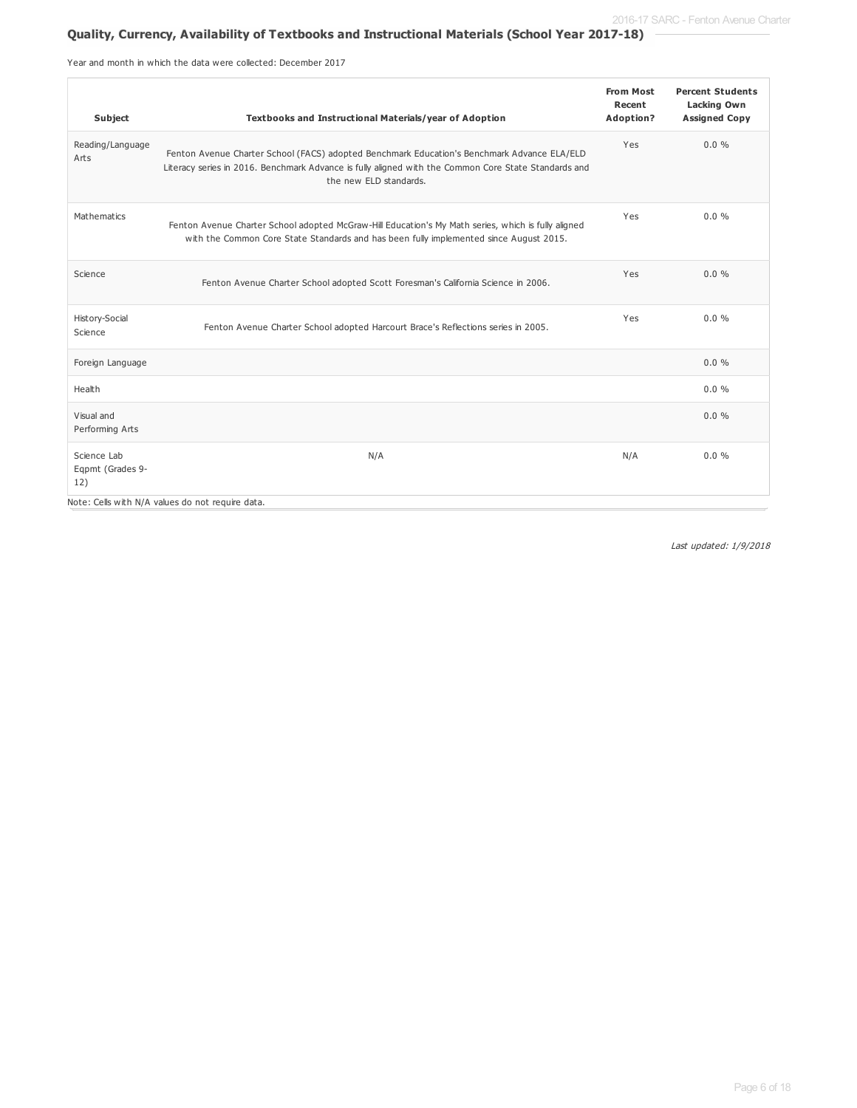## **Quality, Currency, Availability of Textbooks and Instructional Materials (School Year 2017-18)**

Year and month in which the data were collected: December 2017

| Subject                                | Textbooks and Instructional Materials/year of Adoption                                                                                                                                                                        | <b>From Most</b><br>Recent<br>Adoption? | <b>Percent Students</b><br>Lacking Own<br><b>Assigned Copy</b> |
|----------------------------------------|-------------------------------------------------------------------------------------------------------------------------------------------------------------------------------------------------------------------------------|-----------------------------------------|----------------------------------------------------------------|
| Reading/Language<br>Arts               | Fenton Avenue Charter School (FACS) adopted Benchmark Education's Benchmark Advance ELA/ELD<br>Literacy series in 2016. Benchmark Advance is fully aligned with the Common Core State Standards and<br>the new ELD standards. | Yes                                     | 0.0%                                                           |
| Mathematics                            | Fenton Avenue Charter School adopted McGraw-Hill Education's My Math series, which is fully aligned<br>with the Common Core State Standards and has been fully implemented since August 2015.                                 | Yes                                     | 0.0%                                                           |
| Science                                | Fenton Avenue Charter School adopted Scott Foresman's California Science in 2006.                                                                                                                                             | Yes                                     | $0.0\%$                                                        |
| History-Social<br>Science              | Fenton Avenue Charter School adopted Harcourt Brace's Reflections series in 2005.                                                                                                                                             | Yes                                     | 0.0%                                                           |
| Foreign Language                       |                                                                                                                                                                                                                               |                                         | 0.0%                                                           |
| Health                                 |                                                                                                                                                                                                                               |                                         | $0.0 \%$                                                       |
| Visual and<br>Performing Arts          |                                                                                                                                                                                                                               |                                         | 0.0%                                                           |
| Science Lab<br>Eqpmt (Grades 9-<br>12) | N/A<br>Note: Cells with N/A values do not require data.                                                                                                                                                                       | N/A                                     | 0.0%                                                           |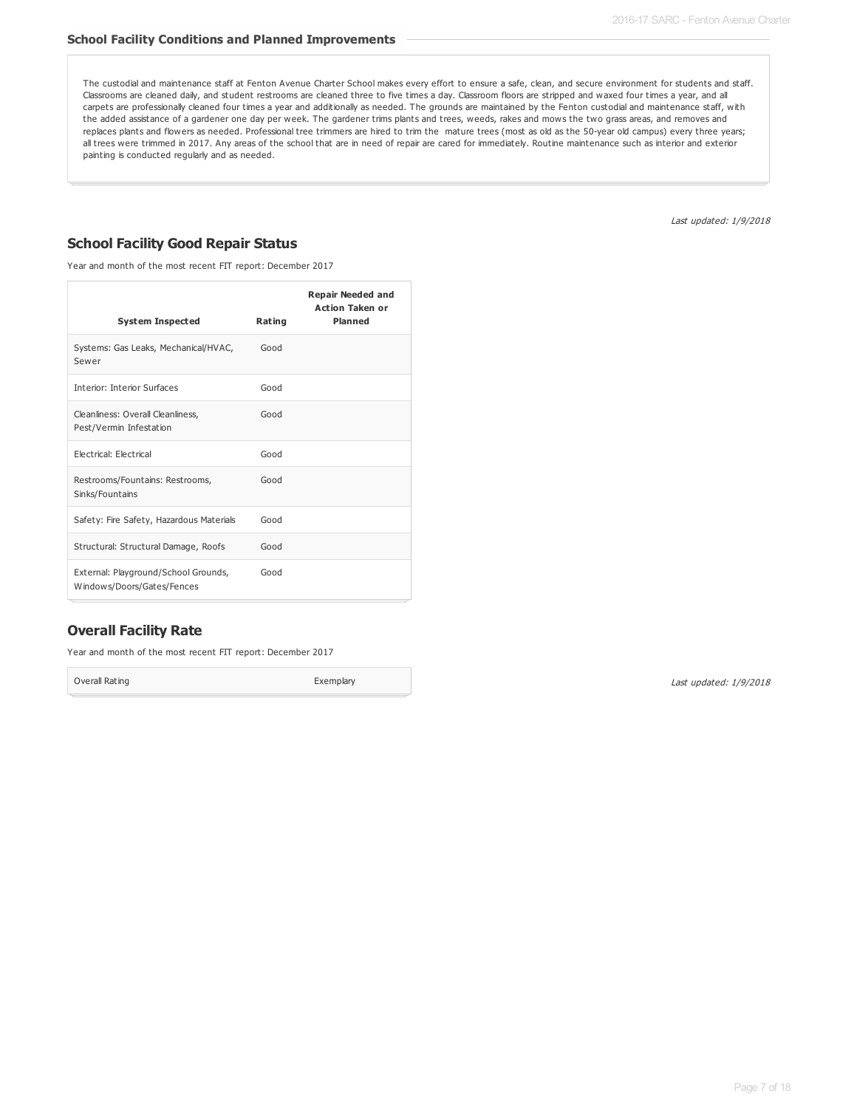The custodial and maintenance staff at Fenton Avenue Charter School makes every effort to ensure a safe, clean, and secure environment for students and staff. Classrooms are cleaned daily, and student restrooms are cleaned three to five times a day. Classroom floors are stripped and waxed four times a year, and all carpets are professionally cleaned four times a year and additionally as needed. The grounds are maintained by the Fenton custodial and maintenance staff, with the added assistance of a gardener one day per week. The gardener trims plants and trees, weeds, rakes and mows the two grass areas, and removes and replaces plants and flowers as needed. Professional tree trimmers are hired to trim the mature trees (most as old as the 50-year old campus) every three years; all trees were trimmed in 2017. Any areas of the school that are in need of repair are cared for immediately. Routine maintenance such as interior and exterior painting is conducted regularly and as needed.

Last updated: 1/9/2018

### **School Facility Good Repair Status**

Year and month of the most recent FIT report: December 2017

| <b>System Inspected</b>                                            | Rating | <b>Repair Needed and</b><br><b>Action Taken or</b><br><b>Planned</b> |
|--------------------------------------------------------------------|--------|----------------------------------------------------------------------|
| Systems: Gas Leaks, Mechanical/HVAC,<br>Sewer                      | Good   |                                                                      |
| <b>Interior: Interior Surfaces</b>                                 | Good   |                                                                      |
| Cleanliness: Overall Cleanliness,<br>Pest/Vermin Infestation       | Good   |                                                                      |
| <b>Electrical: Electrical</b>                                      | Good   |                                                                      |
| Restrooms/Fountains: Restrooms,<br>Sinks/Fountains                 | Good   |                                                                      |
| Safety: Fire Safety, Hazardous Materials                           | Good   |                                                                      |
| Structural: Structural Damage, Roofs                               | Good   |                                                                      |
| External: Playground/School Grounds,<br>Windows/Doors/Gates/Fences | Good   |                                                                      |

### **Overall Facility Rate**

Year and month of the most recent FIT report: December 2017

Overall Rating **Exemplary**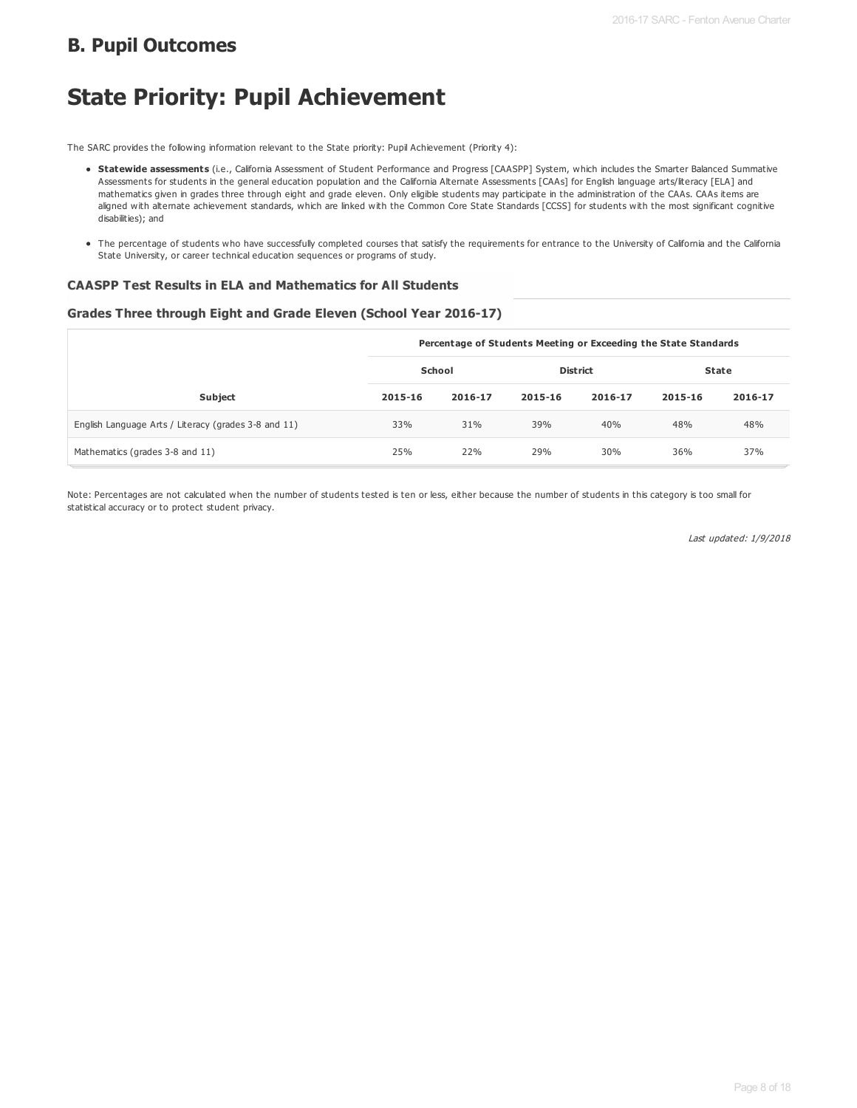# **B. Pupil Outcomes**

# **State Priority: Pupil Achievement**

The SARC provides the following information relevant to the State priority: Pupil Achievement (Priority 4):

- **Statewide assessments** (i.e., California Assessment of Student Performance and Progress [CAASPP] System, which includes the Smarter Balanced Summative Assessments for students in the general education population and the California Alternate Assessments [CAAs] for English language arts/literacy [ELA] and mathematics given in grades three through eight and grade eleven. Only eligible students may participate in the administration of the CAAs. CAAs items are aligned with alternate achievement standards, which are linked with the Common Core State Standards [CCSS] for students with the most significant cognitive disabilities); and
- . The percentage of students who have successfully completed courses that satisfy the requirements for entrance to the University of California and the California State University, or career technical education sequences or programs of study.

#### **CAASPP Test Results in ELA and Mathematics for All Students**

#### **Grades Three through Eight and Grade Eleven (School Year 2016-17)**

|                                                      | Percentage of Students Meeting or Exceeding the State Standards |         |                 |         |              |         |  |
|------------------------------------------------------|-----------------------------------------------------------------|---------|-----------------|---------|--------------|---------|--|
|                                                      | <b>School</b>                                                   |         | <b>District</b> |         | <b>State</b> |         |  |
| Subject                                              | 2015-16                                                         | 2016-17 | 2015-16         | 2016-17 | 2015-16      | 2016-17 |  |
| English Language Arts / Literacy (grades 3-8 and 11) | 33%                                                             | 31%     | 39%             | 40%     | 48%          | 48%     |  |
| Mathematics (grades 3-8 and 11)                      | 25%                                                             | 22%     | 29%             | 30%     | 36%          | 37%     |  |

Note: Percentages are not calculated when the number of students tested is ten or less, either because the number of students in this category is too small for statistical accuracy or to protect student privacy.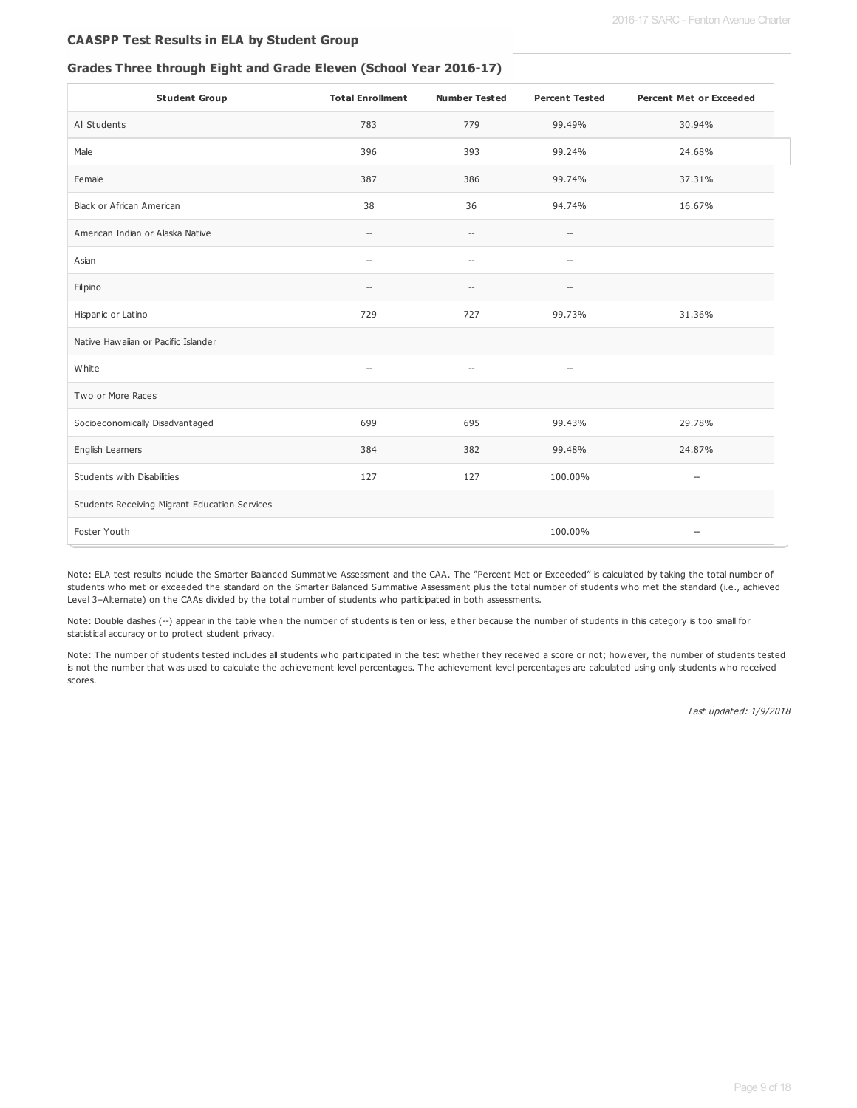#### **CAASPP Test Results in ELA by Student Group**

#### **Grades Three through Eight and Grade Eleven (School Year 2016-17)**

| <b>Student Group</b>                          | <b>Total Enrollment</b>  | <b>Number Tested</b><br><b>Percent Tested</b>       |                          | <b>Percent Met or Exceeded</b> |
|-----------------------------------------------|--------------------------|-----------------------------------------------------|--------------------------|--------------------------------|
| All Students                                  | 783                      | 779                                                 | 99.49%                   | 30.94%                         |
| Male                                          | 396                      | 393                                                 | 99.24%                   | 24.68%                         |
| Female                                        | 387                      | 386                                                 | 99.74%                   | 37.31%                         |
| Black or African American                     | 38                       | 36                                                  | 94.74%                   | 16.67%                         |
| American Indian or Alaska Native              | $\hspace{0.05cm} -$      | $\hspace{0.05cm} -\hspace{0.05cm}$                  | $\hspace{0.05cm} \ldots$ |                                |
| Asian                                         | $\qquad \qquad -$        | $\hspace{0.05cm} \ldots$                            | $\overline{\phantom{a}}$ |                                |
| Filipino                                      | $\overline{\phantom{a}}$ | $\hspace{0.05cm} -\hspace{0.05cm} -\hspace{0.05cm}$ | $\hspace{0.05cm} -$      |                                |
| Hispanic or Latino                            | 729                      | 727                                                 | 99.73%                   | 31.36%                         |
| Native Hawaiian or Pacific Islander           |                          |                                                     |                          |                                |
| White                                         | $\overline{\phantom{a}}$ | $\hspace{0.05cm} \ldots$                            | $\hspace{0.05cm} \ldots$ |                                |
| Two or More Races                             |                          |                                                     |                          |                                |
| Socioeconomically Disadvantaged               | 699                      | 695                                                 | 99.43%                   | 29.78%                         |
| English Learners                              | 384                      | 382                                                 | 99.48%                   | 24.87%                         |
| Students with Disabilities                    | 127                      | 127                                                 | 100.00%                  | --                             |
| Students Receiving Migrant Education Services |                          |                                                     |                          |                                |
| Foster Youth                                  |                          |                                                     | 100.00%                  | --                             |

Note: ELA test results include the Smarter Balanced Summative Assessment and the CAA. The "Percent Met or Exceeded" is calculated by taking the total number of students who met or exceeded the standard on the Smarter Balanced Summative Assessment plus the total number of students who met the standard (i.e., achieved Level 3–Alternate) on the CAAs divided by the total number of students who participated in both assessments.

Note: Double dashes (--) appear in the table when the number of students is ten or less, either because the number of students in this category is too small for statistical accuracy or to protect student privacy.

Note: The number of students tested includes all students who participated in the test whether they received a score or not; however, the number of students tested is not the number that was used to calculate the achievement level percentages. The achievement level percentages are calculated using only students who received scores.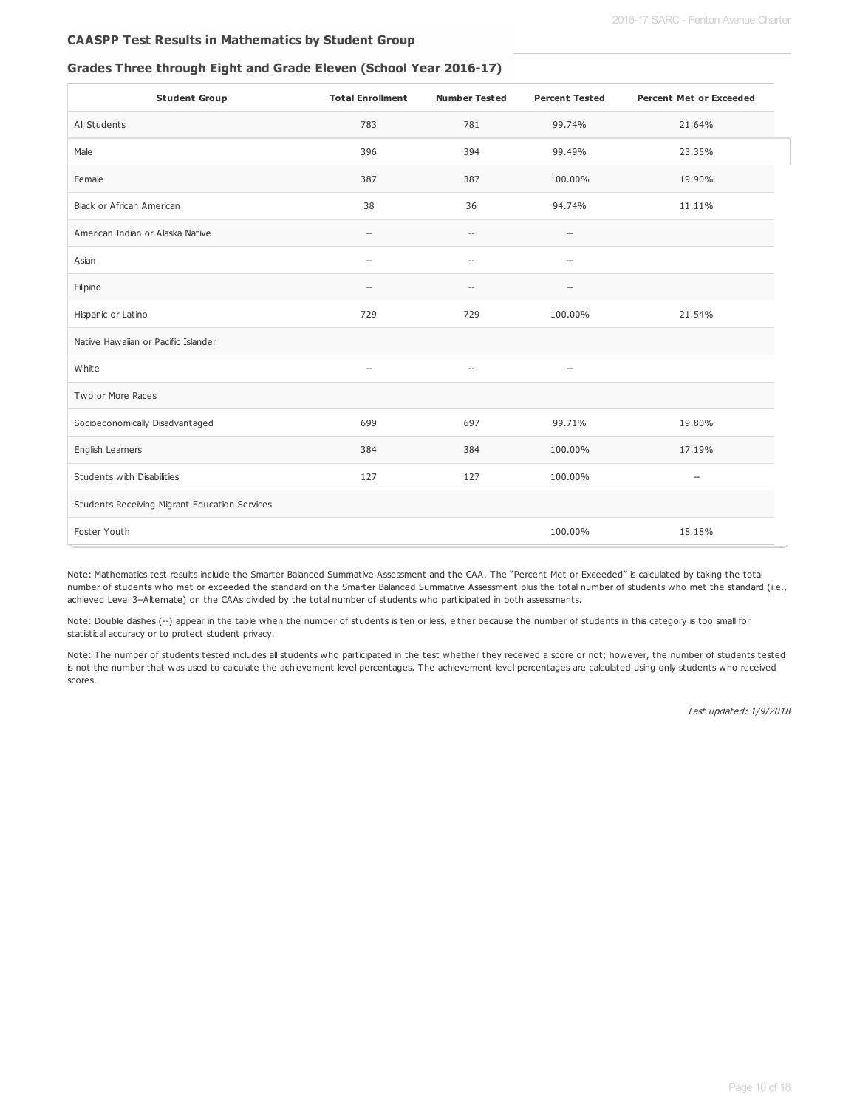#### **CAASPP Test Results in Mathematics by Student Group**

#### **Grades Three through Eight and Grade Eleven (School Year 2016-17)**

| <b>Student Group</b>                          | <b>Total Enrollment</b>  | <b>Number Tested</b><br><b>Percent Tested</b>       |                          | <b>Percent Met or Exceeded</b> |
|-----------------------------------------------|--------------------------|-----------------------------------------------------|--------------------------|--------------------------------|
| All Students                                  | 783                      | 781                                                 | 99.74%                   | 21.64%                         |
| Male                                          | 396                      | 394                                                 | 99.49%                   | 23.35%                         |
| Female                                        | 387                      | 387                                                 | 100.00%                  | 19.90%                         |
| Black or African American                     | 38                       | 36                                                  | 94.74%                   | 11.11%                         |
| American Indian or Alaska Native              | $\hspace{0.05cm} -$      | $\hspace{0.05cm} -\hspace{0.05cm} -\hspace{0.05cm}$ | $\overline{\phantom{a}}$ |                                |
| Asian                                         | $\hspace{0.05cm} -$      | $\hspace{0.05cm} \ldots$                            | $\hspace{0.05cm} \ldots$ |                                |
| Filipino                                      | $\overline{\phantom{a}}$ | $\qquad \qquad -$                                   | $\hspace{0.05cm} -$      |                                |
| Hispanic or Latino                            | 729                      | 729                                                 | 100.00%                  | 21.54%                         |
| Native Hawaiian or Pacific Islander           |                          |                                                     |                          |                                |
| White                                         | $\overline{\phantom{a}}$ | $\hspace{0.05cm} \ldots$                            | $\hspace{0.05cm} \ldots$ |                                |
| Two or More Races                             |                          |                                                     |                          |                                |
| Socioeconomically Disadvantaged               | 699                      | 697                                                 | 99.71%                   | 19.80%                         |
| English Learners                              | 384                      | 384                                                 | 100.00%                  | 17.19%                         |
| Students with Disabilities                    | 127                      | 127                                                 | 100.00%                  | $\hspace{0.05cm} \ldots$       |
| Students Receiving Migrant Education Services |                          |                                                     |                          |                                |
| Foster Youth                                  |                          |                                                     | 100.00%                  | 18.18%                         |

Note: Mathematics test results include the Smarter Balanced Summative Assessment and the CAA. The "Percent Met or Exceeded" is calculated by taking the total number of students who met or exceeded the standard on the Smarter Balanced Summative Assessment plus the total number of students who met the standard (i.e., achieved Level 3–Alternate) on the CAAs divided by the total number of students who participated in both assessments.

Note: Double dashes (--) appear in the table when the number of students is ten or less, either because the number of students in this category is too small for statistical accuracy or to protect student privacy.

Note: The number of students tested includes all students who participated in the test whether they received a score or not; however, the number of students tested is not the number that was used to calculate the achievement level percentages. The achievement level percentages are calculated using only students who received scores.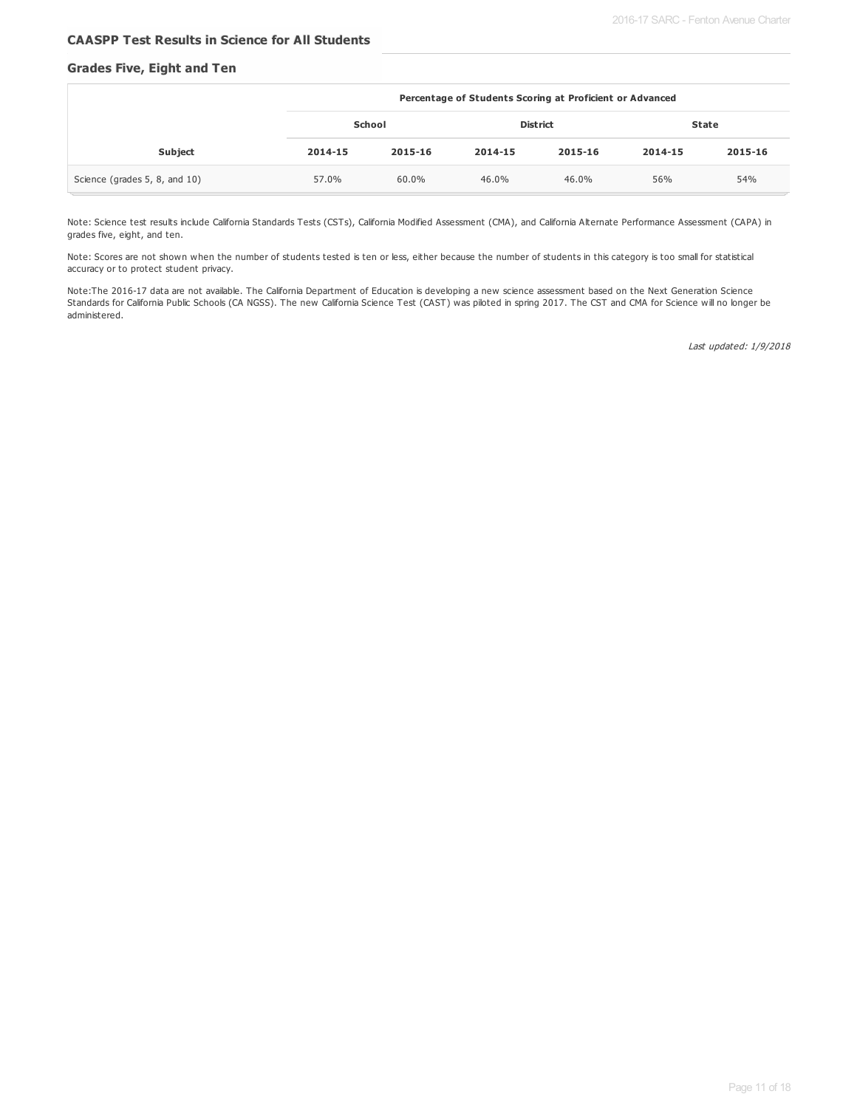#### **CAASPP Test Results in Science for All Students**

#### **Grades Five, Eight and Ten**

|                               |         | Percentage of Students Scoring at Proficient or Advanced |         |                 |         |              |  |
|-------------------------------|---------|----------------------------------------------------------|---------|-----------------|---------|--------------|--|
|                               |         | School                                                   |         | <b>District</b> |         | <b>State</b> |  |
| <b>Subject</b>                | 2014-15 | 2015-16                                                  | 2014-15 | 2015-16         | 2014-15 | 2015-16      |  |
| Science (grades 5, 8, and 10) | 57.0%   | 60.0%                                                    | 46.0%   | 46.0%           | 56%     | 54%          |  |

Note: Science test results include California Standards Tests (CSTs), California Modified Assessment (CMA), and California Alternate Performance Assessment (CAPA) in grades five, eight, and ten.

Note: Scores are not shown when the number of students tested is ten or less, either because the number of students in this category is too small for statistical accuracy or to protect student privacy.

Note:The 2016-17 data are not available. The California Department of Education is developing a new science assessment based on the Next Generation Science Standards for California Public Schools (CA NGSS). The new California Science Test (CAST) was piloted in spring 2017. The CST and CMA for Science will no longer be administered.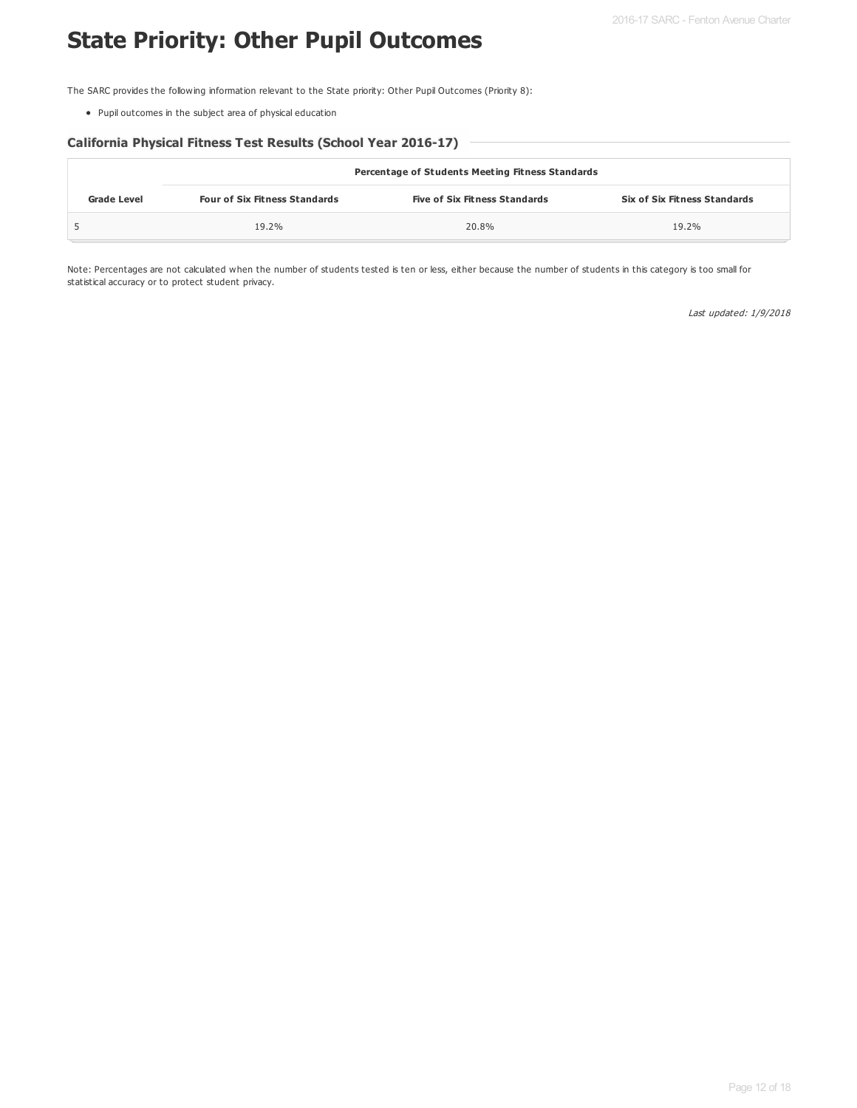# **State Priority: Other Pupil Outcomes**

The SARC provides the following information relevant to the State priority: Other Pupil Outcomes (Priority 8):

Pupil outcomes in the subject area of physical education

#### **California Physical Fitness Test Results (School Year 2016-17)**

|                    | Percentage of Students Meeting Fitness Standards |                                      |                                     |  |  |  |
|--------------------|--------------------------------------------------|--------------------------------------|-------------------------------------|--|--|--|
| <b>Grade Level</b> | <b>Four of Six Fitness Standards</b>             | <b>Five of Six Fitness Standards</b> | <b>Six of Six Fitness Standards</b> |  |  |  |
|                    | 19.2%                                            | 20.8%                                | 19.2%                               |  |  |  |

Note: Percentages are not calculated when the number of students tested is ten or less, either because the number of students in this category is too small for statistical accuracy or to protect student privacy.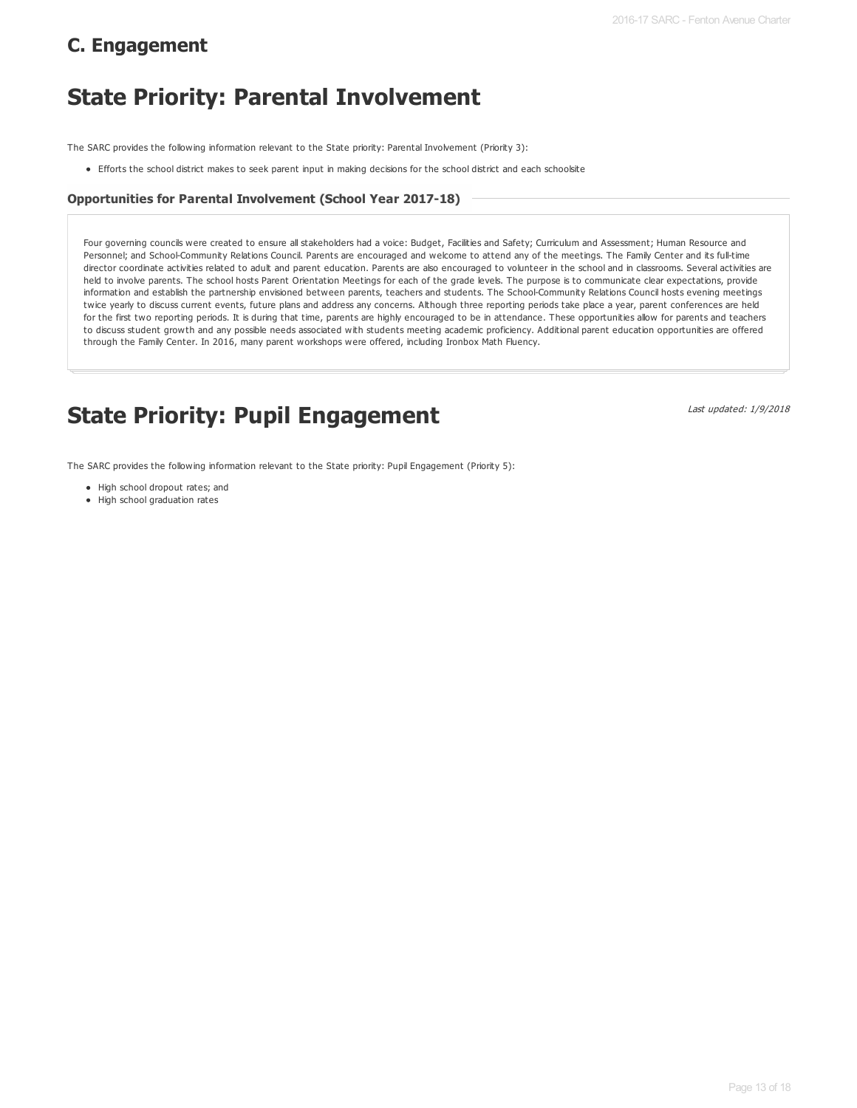# **C. Engagement**

# **State Priority: Parental Involvement**

The SARC provides the following information relevant to the State priority: Parental Involvement (Priority 3):

Efforts the school district makes to seek parent input in making decisions for the school district and each schoolsite

#### **Opportunities for Parental Involvement (School Year 2017-18)**

Four governing councils were created to ensure all stakeholders had a voice: Budget, Facilities and Safety; Curriculum and Assessment; Human Resource and Personnel; and School-Community Relations Council. Parents are encouraged and welcome to attend any of the meetings. The Family Center and its full-time director coordinate activities related to adult and parent education. Parents are also encouraged to volunteer in the school and in classrooms. Several activities are held to involve parents. The school hosts Parent Orientation Meetings for each of the grade levels. The purpose is to communicate clear expectations, provide information and establish the partnership envisioned between parents, teachers and students. The School-Community Relations Council hosts evening meetings twice yearly to discuss current events, future plans and address any concerns. Although three reporting periods take place a year, parent conferences are held for the first two reporting periods. It is during that time, parents are highly encouraged to be in attendance. These opportunities allow for parents and teachers to discuss student growth and any possible needs associated with students meeting academic proficiency. Additional parent education opportunities are offered through the Family Center. In 2016, many parent workshops were offered, including Ironbox Math Fluency.

# **State Priority: Pupil Engagement**

Last updated: 1/9/2018

The SARC provides the following information relevant to the State priority: Pupil Engagement (Priority 5):

- High school dropout rates; and
- High school graduation rates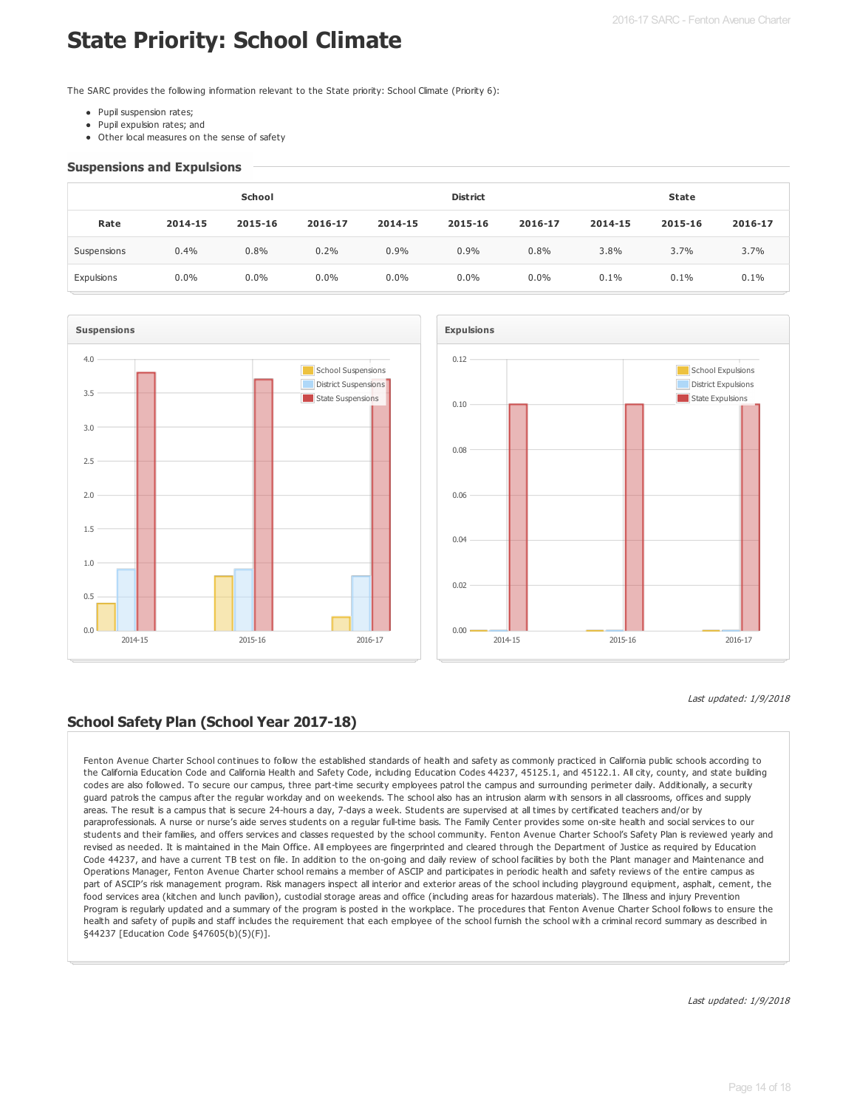# **State Priority: School Climate**

The SARC provides the following information relevant to the State priority: School Climate (Priority 6):

- Pupil suspension rates;
- Pupil expulsion rates; and
- Other local measures on the sense of safety

#### **Suspensions and Expulsions**

|             | <b>School</b> |         |         | <b>District</b> |         |         | <b>State</b> |         |         |
|-------------|---------------|---------|---------|-----------------|---------|---------|--------------|---------|---------|
| Rate        | 2014-15       | 2015-16 | 2016-17 | 2014-15         | 2015-16 | 2016-17 | 2014-15      | 2015-16 | 2016-17 |
| Suspensions | 0.4%          | 0.8%    | 0.2%    | 0.9%            | 0.9%    | 0.8%    | 3.8%         | 3.7%    | 3.7%    |
| Expulsions  | 0.0%          | $0.0\%$ | $0.0\%$ | 0.0%            | $0.0\%$ | 0.0%    | 0.1%         | 0.1%    | 0.1%    |





## **School Safety Plan (School Year 2017-18)**

Fenton Avenue Charter School continues to follow the established standards of health and safety as commonly practiced in California public schools according to the California Education Code and California Health and Safety Code, including Education Codes 44237, 45125.1, and 45122.1. All city, county, and state building codes are also followed. To secure our campus, three part-time security employees patrol the campus and surrounding perimeter daily. Additionally, a security guard patrols the campus after the regular workday and on weekends. The school also has an intrusion alarm with sensors in all classrooms, offices and supply areas. The result is a campus that is secure 24-hours a day, 7-days a week. Students are supervised at all times by certificated teachers and/or by paraprofessionals. A nurse or nurse's aide serves students on a regular full-time basis. The Family Center provides some on-site health and social services to our students and their families, and offers services and classes requested by the school community. Fenton Avenue Charter School's Safety Plan is reviewed yearly and revised as needed. It is maintained in the Main Office. All employees are fingerprinted and cleared through the Department of Justice as required by Education Code 44237, and have a current TB test on file. In addition to the on-going and daily review of school facilities by both the Plant manager and Maintenance and Operations Manager, Fenton Avenue Charter school remains a member of ASCIP and participates in periodic health and safety reviews of the entire campus as part of ASCIP's risk management program. Risk managers inspect all interior and exterior areas of the school including playground equipment, asphalt, cement, the food services area (kitchen and lunch pavilion), custodial storage areas and office (including areas for hazardous materials). The Illness and injury Prevention Program is regularly updated and a summary of the program is posted in the workplace. The procedures that Fenton Avenue Charter School follows to ensure the health and safety of pupils and staff includes the requirement that each employee of the school furnish the school with a criminal record summary as described in §44237 [Education Code §47605(b)(5)(F)].

Last updated: 1/9/2018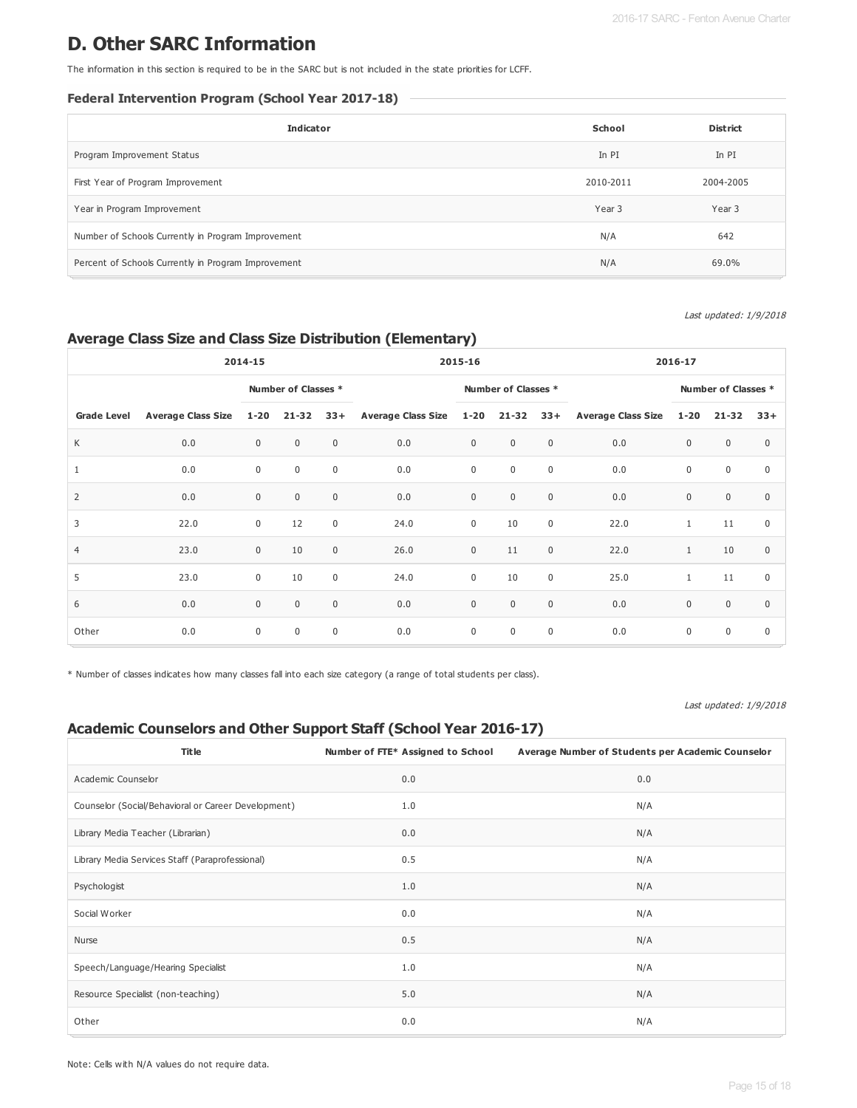# **D. Other SARC Information**

The information in this section is required to be in the SARC but is not included in the state priorities for LCFF.

#### **Federal Intervention Program (School Year 2017-18)**

| <b>Indicator</b>                                    | School    | <b>District</b> |
|-----------------------------------------------------|-----------|-----------------|
| Program Improvement Status                          | In PI     | In PI           |
| First Year of Program Improvement                   | 2010-2011 | 2004-2005       |
| Year in Program Improvement                         | Year 3    | Year 3          |
| Number of Schools Currently in Program Improvement  | N/A       | 642             |
| Percent of Schools Currently in Program Improvement | N/A       | 69.0%           |

Last updated: 1/9/2018

## **Average Class Size and Class Size Distribution (Elementary)**

| 2014-15            |                           |                     |              | 2015-16      |                               |             | 2016-17          |             |                        |              |             |              |
|--------------------|---------------------------|---------------------|--------------|--------------|-------------------------------|-------------|------------------|-------------|------------------------|--------------|-------------|--------------|
|                    |                           | Number of Classes * |              |              | Number of Classes *           |             |                  |             | Number of Classes *    |              |             |              |
| <b>Grade Level</b> | <b>Average Class Size</b> | $1 - 20$            | $21 - 32$    | $33+$        | Average Class Size 1-20 21-32 |             |                  |             | 33+ Average Class Size | $1 - 20$     | $21 - 32$   | $33+$        |
| K                  | 0.0                       | $\mathbf 0$         | $\mathbf{0}$ | $\mathbf{0}$ | 0.0                           | $\mathbf 0$ | $\mathbf 0$      | $\mathbf 0$ | 0.0                    | $\mathbf{0}$ | $\mathbf 0$ | $\mathbf{0}$ |
| 1                  | 0.0                       | $\mathbf 0$         | $\mathbf 0$  | $\mathsf 0$  | 0.0                           | $\mathsf 0$ | $\boldsymbol{0}$ | $\mathsf 0$ | 0.0                    | $\mathbf 0$  | $\mathbf 0$ | $\mathbf 0$  |
| $\overline{2}$     | 0.0                       | $\mathbf 0$         | $\mathbf 0$  | $\mathbf{0}$ | 0.0                           | $\mathbf 0$ | $\mathbf 0$      | $\mathsf 0$ | 0.0                    | $\mathbf{0}$ | $\mathbf 0$ | $\mathbf{0}$ |
| 3                  | 22.0                      | $\mathbf 0$         | 12           | $\mathbf{0}$ | 24.0                          | $\mathsf 0$ | 10               | $\mathsf 0$ | 22.0                   | $\mathbf{1}$ | 11          | $\mathbf 0$  |
| $\overline{4}$     | 23.0                      | $\mathbf 0$         | 10           | $\mathbf{0}$ | 26.0                          | $\mathbf 0$ | 11               | $\mathbf 0$ | 22.0                   | $\mathbf{1}$ | 10          | $\mathbf{0}$ |
| 5                  | 23.0                      | $\mathbf 0$         | 10           | $\mathbf 0$  | 24.0                          | $\mathbf 0$ | 10               | $\mathsf 0$ | 25.0                   | $\mathbf{1}$ | 11          | $\Omega$     |
| 6                  | 0.0                       | $\mathbf 0$         | $\mathbf 0$  | $\mathbf 0$  | 0.0                           | $\mathbf 0$ | $\mathbf 0$      | $\mathbf 0$ | 0.0                    | $\mathbf 0$  | $\mathbf 0$ | $\mathbf{0}$ |
| Other              | 0.0                       | $\mathbf 0$         | $\mathbf 0$  | $\mathbf 0$  | 0.0                           | $\mathbf 0$ | $\mathbf 0$      | $\mathbf 0$ | 0.0                    | $\mathbf 0$  | $\mathbf 0$ | $\mathbf 0$  |

\* Number of classes indicates how many classes fall into each size category (a range of total students per class).

Last updated: 1/9/2018

### **Academic Counselors and Other Support Staff (School Year 2016-17)**

| <b>Title</b>                                        | Number of FTE* Assigned to School | Average Number of Students per Academic Counselor |
|-----------------------------------------------------|-----------------------------------|---------------------------------------------------|
| Academic Counselor                                  | 0.0                               | 0.0                                               |
| Counselor (Social/Behavioral or Career Development) | 1.0                               | N/A                                               |
| Library Media Teacher (Librarian)                   | 0.0                               | N/A                                               |
| Library Media Services Staff (Paraprofessional)     | 0.5                               | N/A                                               |
| Psychologist                                        | 1.0                               | N/A                                               |
| Social Worker                                       | 0.0                               | N/A                                               |
| Nurse                                               | 0.5                               | N/A                                               |
| Speech/Language/Hearing Specialist                  | 1.0                               | N/A                                               |
| Resource Specialist (non-teaching)                  | 5.0                               | N/A                                               |
| Other                                               | 0.0                               | N/A                                               |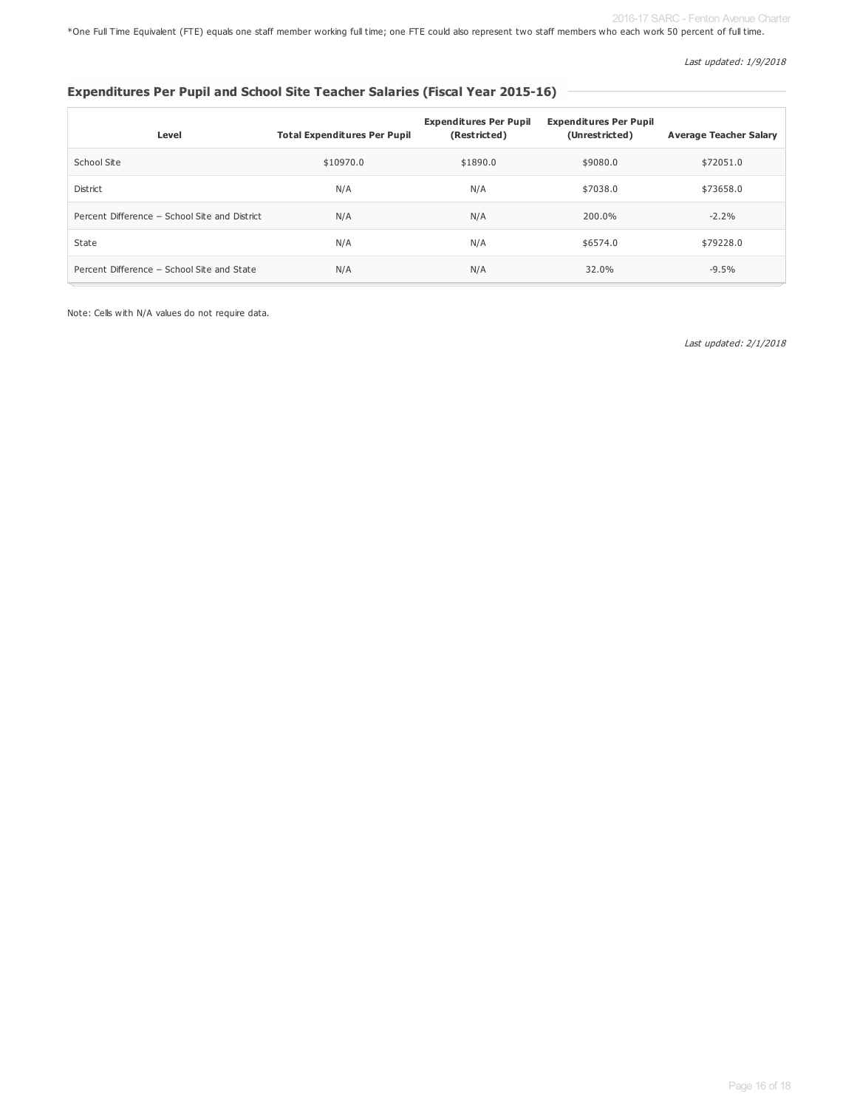\*One Full Time Equivalent (FTE) equals one staff member working full time; one FTE could also represent two staff members who each work 50 percent of full time.

Last updated: 1/9/2018

### **Expenditures Per Pupil and School Site Teacher Salaries (Fiscal Year 2015-16)**

| Level                                         | <b>Total Expenditures Per Pupil</b> | <b>Expenditures Per Pupil</b><br>(Restricted) | <b>Expenditures Per Pupil</b><br>(Unrestricted) | <b>Average Teacher Salary</b> |
|-----------------------------------------------|-------------------------------------|-----------------------------------------------|-------------------------------------------------|-------------------------------|
| School Site                                   | \$10970.0                           | \$1890.0                                      | \$9080.0                                        | \$72051.0                     |
| <b>District</b>                               | N/A                                 | N/A                                           | \$7038.0                                        | \$73658.0                     |
| Percent Difference - School Site and District | N/A                                 | N/A                                           | 200.0%                                          | $-2.2%$                       |
| State                                         | N/A                                 | N/A                                           | \$6574.0                                        | \$79228.0                     |
| Percent Difference - School Site and State    | N/A                                 | N/A                                           | 32.0%                                           | $-9.5%$                       |

Note: Cells with N/A values do not require data.

Last updated: 2/1/2018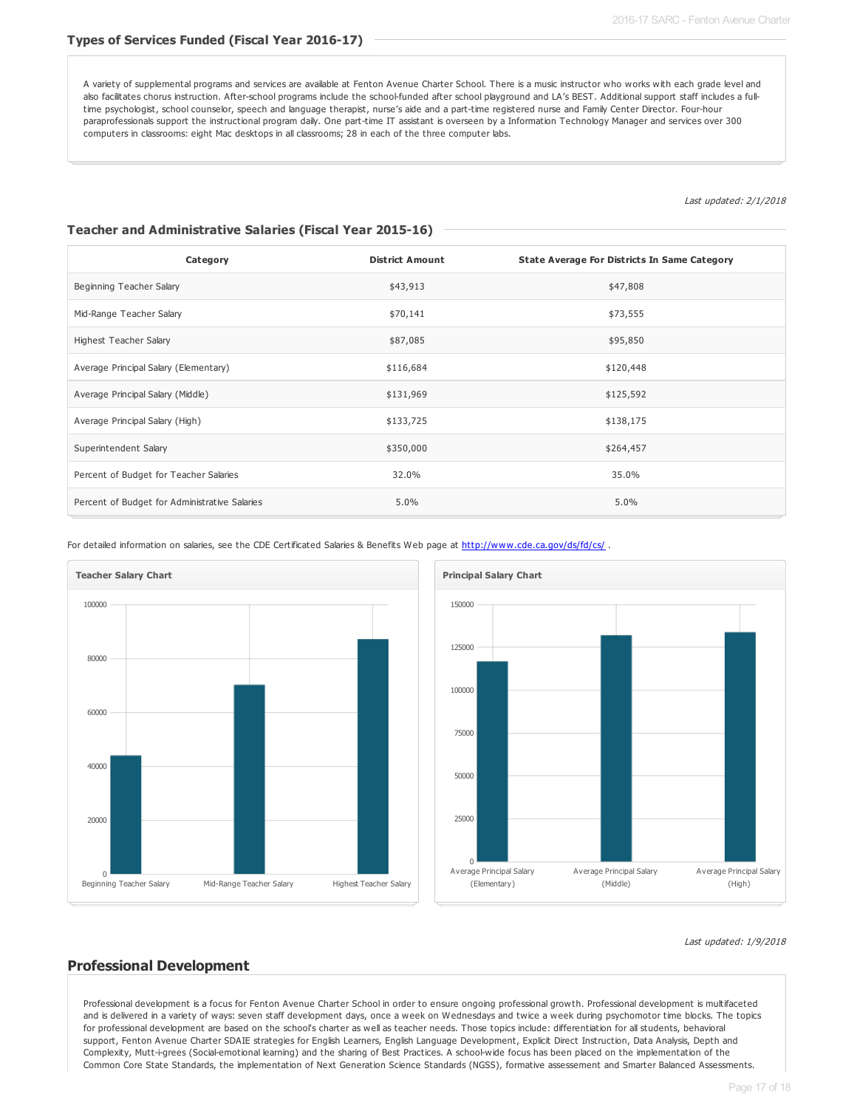A variety of supplemental programs and services are available at Fenton Avenue Charter School. There is a music instructor who works with each grade level and also facilitates chorus instruction. After-school programs include the school-funded after school playground and LA's BEST. Additional support staff includes a fulltime psychologist, school counselor, speech and language therapist, nurse's aide and a part-time registered nurse and Family Center Director. Four-hour paraprofessionals support the instructional program daily. One part-time IT assistant is overseen by a Information Technology Manager and services over 300 computers in classrooms: eight Mac desktops in all classrooms; 28 in each of the three computer labs.

Last updated: 2/1/2018

#### **Teacher and Administrative Salaries (Fiscal Year 2015-16)**

| Category                                      | <b>District Amount</b> | State Average For Districts In Same Category |
|-----------------------------------------------|------------------------|----------------------------------------------|
| Beginning Teacher Salary                      | \$43,913               | \$47,808                                     |
| Mid-Range Teacher Salary                      | \$70,141               | \$73,555                                     |
| Highest Teacher Salary                        | \$87,085               | \$95,850                                     |
| Average Principal Salary (Elementary)         | \$116,684              | \$120,448                                    |
| Average Principal Salary (Middle)             | \$131,969              | \$125,592                                    |
| Average Principal Salary (High)               | \$133,725              | \$138,175                                    |
| Superintendent Salary                         | \$350,000              | \$264,457                                    |
| Percent of Budget for Teacher Salaries        | 32.0%                  | 35.0%                                        |
| Percent of Budget for Administrative Salaries | 5.0%                   | 5.0%                                         |

For detailed information on salaries, see the CDE Certificated Salaries & Benefits Web page at <http://www.cde.ca.gov/ds/fd/cs/> .





Last updated: 1/9/2018

#### **Professional Development**

Professional development is a focus for Fenton Avenue Charter School in order to ensure ongoing professional growth. Professional development is multifaceted and is delivered in a variety of ways: seven staff development days, once a week on Wednesdays and twice a week during psychomotor time blocks. The topics for professional development are based on the school's charter as well as teacher needs. Those topics include: differentiation for all students, behavioral support, Fenton Avenue Charter SDAIE strategies for English Learners, English Language Development, Explicit Direct Instruction, Data Analysis, Depth and Complexity, Mutt-i-grees (Social-emotional learning) and the sharing of Best Practices. A school-wide focus has been placed on the implementation of the Common Core State Standards, the implementation of Next Generation Science Standards (NGSS), formative assessement and Smarter Balanced Assessments.